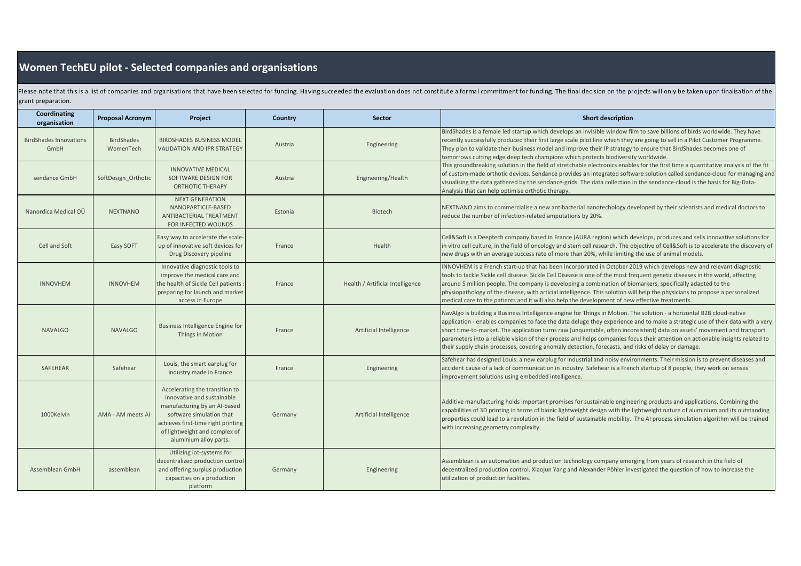## **Women TechEU pilot - Selected companies and organisations**

Please note that this is a list of companies and organisations that have been selected for funding. Having succeeded the evaluation does not constitute a formal commitment for funding. The final decision on the projects wi grant preparation.

| Coordinating<br>organisation          | <b>Proposal Acronym</b>        | Project                                                                                                                                                                                                                   | Country | <b>Sector</b>                    | <b>Short description</b>                                                                                                                                                                                                                                                                                                                                                                                                                                                                                                                                                                                                   |
|---------------------------------------|--------------------------------|---------------------------------------------------------------------------------------------------------------------------------------------------------------------------------------------------------------------------|---------|----------------------------------|----------------------------------------------------------------------------------------------------------------------------------------------------------------------------------------------------------------------------------------------------------------------------------------------------------------------------------------------------------------------------------------------------------------------------------------------------------------------------------------------------------------------------------------------------------------------------------------------------------------------------|
| <b>BirdShades Innovations</b><br>GmbH | <b>BirdShades</b><br>WomenTech | <b>BIRDSHADES BUSINESS MODEL</b><br><b>VALIDATION AND IPR STRATEGY</b>                                                                                                                                                    | Austria | Engineering                      | BirdShades is a female led startup which develops an invisible window film to save billions of birds worldwide. They have<br>recently successfully produced their first large scale pilot line which they are going to sell in a Pilot Customer Programme.<br>They plan to validate their business model and improve their IP strategy to ensure that BirdShades becomes one of<br>tomorrows cutting edge deep tech champions which protects biodiversity worldwide.                                                                                                                                                       |
| sendance GmbH                         | SoftDesign Orthotic            | <b>INNOVATIVE MEDICAL</b><br>SOFTWARE DESIGN FOR<br>ORTHOTIC THERAPY                                                                                                                                                      | Austria | Engineering/Health               | This groundbreaking solution in the field of stretchable electronics enables for the first time a quantitative analysis of the fit<br>of custom-made orthotic devices. Sendance provides an integrated software solution called sendance-cloud for managing and<br>visualising the data gathered by the sendance-grids. The data collection in the sendance-cloud is the basis for Big-Data-<br>Analysis that can help optimise orthotic therapy.                                                                                                                                                                          |
| Nanordica Medical OÜ                  | <b>NEXTNANO</b>                | <b>NEXT GENERATION</b><br>NANOPARTICLE-BASED<br>ANTIBACTERIAL TREATMENT<br>FOR INFECTED WOUNDS                                                                                                                            | Estonia | <b>Biotech</b>                   | NEXTNANO aims to commercialise a new antibacterial nanotechology developed by their scientists and medical doctors to<br>reduce the number of infection-related amputations by 20%.                                                                                                                                                                                                                                                                                                                                                                                                                                        |
| Cell and Soft                         | Easy SOFT                      | Easy way to accelerate the scale-<br>up of innovative soft devices for<br>Drug Discovery pipeline                                                                                                                         | France  | Health                           | Cell&Soft is a Deeptech company based in France (AURA region) which develops, produces and sells innovative solutions for<br>in vitro cell culture, in the field of oncology and stem cell research. The objective of Cell&Soft is to accelerate the discovery of<br>new drugs with an average success rate of more than 20%, while limiting the use of animal models.                                                                                                                                                                                                                                                     |
| <b>INNOVHEM</b>                       | <b>INNOVHEM</b>                | Innovative diagnostic tools to<br>improve the medical care and<br>the health of Sickle Cell patients<br>preparing for launch and market<br>access in Europe                                                               | France  | Health / Artificial Intelligence | INNOVHEM is a French start-up that has been incorporated in October 2019 which develops new and relevant diagnostic<br>tools to tackle Sickle cell disease. Sickle Cell Disease is one of the most frequent genetic diseases in the world, affecting<br>around 5 million people. The company is developing a combination of biomarkers, specifically adapted to the<br>physiopathology of the disease, with articial intelligence. This solution will help the physicians to propose a personalized<br>medical care to the patients and it will also help the development of new effective treatments.                     |
| <b>NAVALGO</b>                        | <b>NAVALGO</b>                 | <b>Business Intelligence Engine for</b><br>Things in Motion                                                                                                                                                               | France  | Artificial Intelligence          | NavAlgo is building a Business Intelligence engine for Things in Motion. The solution - a horizontal B2B cloud-native<br>application - enables companies to face the data deluge they experience and to make a strategic use of their data with a very<br>short time-to-market. The application turns raw (unqueriable, often inconsistent) data on assets' movement and transport<br>parameters into a reliable vision of their process and helps companies focus their attention on actionable insights related to<br>their supply chain processes, covering anomaly detection, forecasts, and risks of delay or damage. |
| SAFEHEAR                              | Safehear                       | Louis, the smart earplug for<br>industry made in France                                                                                                                                                                   | France  | Engineering                      | Safehear has designed Louis: a new earplug for industrial and noisy environments. Their mission is to prevent diseases and<br>accident cause of a lack of communication in industry. Safehear is a French startup of 8 people, they work on senses<br>improvement solutions using embedded intelligence.                                                                                                                                                                                                                                                                                                                   |
| 1000Kelvin                            | AMA - AM meets AI              | Accelerating the transition to<br>innovative and sustainable<br>manufacturing by an Al-based<br>software simulation that<br>achieves first-time right printing<br>of lightweight and complex of<br>aluminium alloy parts. | Germany | <b>Artificial Intelligence</b>   | Additive manufacturing holds important promises for sustainable engineering products and applications. Combining the<br>capabilities of 3D printing in terms of bionic lightweight design with the lightweight nature of aluminium and its outstanding<br>properties could lead to a revolution in the field of sustainable mobility. The AI process simulation algorithm will be trained<br>with increasing geometry complexity.                                                                                                                                                                                          |
| Assemblean GmbH                       | assemblean                     | Utilizing iot-systems for<br>decentralized production control<br>and offering surplus production<br>capacities on a production<br>platform                                                                                | Germany | Engineering                      | Assemblean is an automation and production technology company emerging from years of research in the field of<br>decentralized production control. Xiaojun Yang and Alexander Pöhler investigated the question of how to increase the<br>utilization of production facilities.                                                                                                                                                                                                                                                                                                                                             |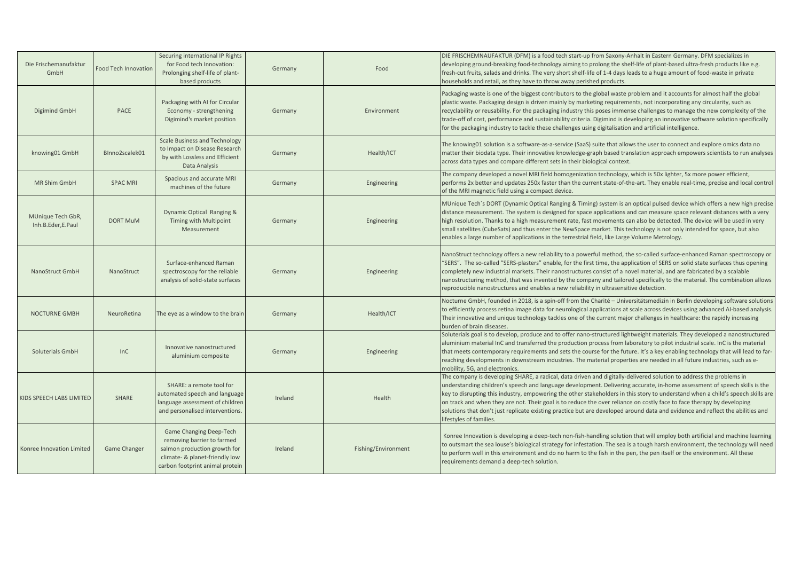| Die Frischemanufaktur<br>GmbH          | <b>Food Tech Innovation</b> | Securing international IP Rights<br>for Food tech Innovation:<br>Prolonging shelf-life of plant-<br>based products                                         | Germany | Food                | DIE FRISCHEMNAUFAKTUR (DFM) is a food tech start-up from Saxony-Anhalt in Eastern Germany. DFM specializes in<br>developing ground-breaking food-technology aiming to prolong the shelf-life of plant-based ultra-fresh products like e.g.<br>fresh-cut fruits, salads and drinks. The very short shelf-life of 1-4 days leads to a huge amount of food-waste in private<br>nouseholds and retail, as they have to throw away perished products.                                                                                                                                                                                                                           |
|----------------------------------------|-----------------------------|------------------------------------------------------------------------------------------------------------------------------------------------------------|---------|---------------------|----------------------------------------------------------------------------------------------------------------------------------------------------------------------------------------------------------------------------------------------------------------------------------------------------------------------------------------------------------------------------------------------------------------------------------------------------------------------------------------------------------------------------------------------------------------------------------------------------------------------------------------------------------------------------|
| Digimind GmbH                          | PACE                        | Packaging with AI for Circular<br>Economy - strengthening<br>Digimind's market position                                                                    | Germany | Environment         | Packaging waste is one of the biggest contributors to the global waste problem and it accounts for almost half the global<br>plastic waste. Packaging design is driven mainly by marketing requirements, not incorporating any circularity, such as<br>recyclability or reusability. For the packaging industry this poses immense challenges to manage the new complexity of the<br>trade-off of cost, performance and sustainability criteria. Digimind is developing an innovative software solution specifically<br>for the packaging industry to tackle these challenges using digitalisation and artificial intelligence.                                            |
| knowing01 GmbH                         | BInno2scalek01              | <b>Scale Business and Technology</b><br>to Impact on Disease Research<br>by with Lossless and Efficient<br>Data Analysis                                   | Germany | Health/ICT          | The knowing01 solution is a software-as-a-service (SaaS) suite that allows the user to connect and explore omics data no<br>matter their biodata type. Their innovative knowledge-graph based translation approach empowers scientists to run analyses<br>across data types and compare different sets in their biological context.                                                                                                                                                                                                                                                                                                                                        |
| <b>MR Shim GmbH</b>                    | <b>SPAC MRI</b>             | Spacious and accurate MRI<br>machines of the future                                                                                                        | Germany | Engineering         | The company developed a novel MRI field homogenization technology, which is 50x lighter, 5x more power efficient,<br>performs 2x better and updates 250x faster than the current state-of-the-art. They enable real-time, precise and local control<br>of the MRI magnetic field using a compact device.                                                                                                                                                                                                                                                                                                                                                                   |
| MUnique Tech GbR,<br>Inh.B.Eder,E.Paul | <b>DORT MuM</b>             | Dynamic Optical Ranging &<br>Timing with Multipoint<br>Measurement                                                                                         | Germany | Engineering         | MUnique Tech's DORT (Dynamic Optical Ranging & Timing) system is an optical pulsed device which offers a new high precise<br>distance measurement. The system is designed for space applications and can measure space relevant distances with a very<br>high resolution. Thanks to a high measurement rate, fast movements can also be detected. The device will be used in very<br>small satellites (CubeSats) and thus enter the NewSpace market. This technology is not only intended for space, but also<br>enables a large number of applications in the terrestrial field, like Large Volume Metrology.                                                             |
| NanoStruct GmbH                        | NanoStruct                  | Surface-enhanced Raman<br>spectroscopy for the reliable<br>analysis of solid-state surfaces                                                                | Germany | Engineering         | NanoStruct technology offers a new reliability to a powerful method, the so-called surface-enhanced Raman spectroscopy or<br>'SERS". The so-called "SERS-plasters" enable, for the first time, the application of SERS on solid state surfaces thus opening<br>completely new industrial markets. Their nanostructures consist of a novel material, and are fabricated by a scalable<br>nanostructuring method, that was invented by the company and tailored specifically to the material. The combination allows<br>reproducible nanostructures and enables a new reliability in ultrasensitive detection.                                                               |
| <b>NOCTURNE GMBH</b>                   | NeuroRetina                 | The eye as a window to the brain                                                                                                                           | Germany | Health/ICT          | Nocturne GmbH, founded in 2018, is a spin-off from the Charité - Universitätsmedizin in Berlin developing software solutions<br>to efficiently process retina image data for neurological applications at scale across devices using advanced AI-based analysis.<br>Their innovative and unique technology tackles one of the current major challenges in healthcare: the rapidly increasing<br>burden of brain diseases.                                                                                                                                                                                                                                                  |
| Soluterials GmbH                       | InC                         | Innovative nanostructured<br>aluminium composite                                                                                                           | Germany | Engineering         | Soluterials goal is to develop, produce and to offer nano-structured lightweight materials. They developed a nanostructured<br>aluminium material InC and transferred the production process from laboratory to pilot industrial scale. InC is the material<br>that meets contemporary requirements and sets the course for the future. It's a key enabling technology that will lead to far-<br>reaching developments in downstream industries. The material properties are needed in all future industries, such as e-<br>mobility, 5G, and electronics.                                                                                                                 |
| KIDS SPEECH LABS LIMITED               | SHARE                       | SHARE: a remote tool for<br>automated speech and language<br>language assessment of children<br>and personalised interventions.                            | Ireland | Health              | The company is developing SHARE, a radical, data driven and digitally-delivered solution to address the problems in<br>understanding children's speech and language development. Delivering accurate, in-home assessment of speech skills is the<br>key to disrupting this industry, empowering the other stakeholders in this story to understand when a child's speech skills are<br>on track and when they are not. Their goal is to reduce the over reliance on costly face to face therapy by developing<br>solutions that don't just replicate existing practice but are developed around data and evidence and reflect the abilities and<br>lifestyles of families. |
| Konree Innovation Limited              | Game Changer                | Game Changing Deep-Tech<br>removing barrier to farmed<br>salmon production growth for<br>climate- & planet-friendly low<br>carbon footprint animal protein | Ireland | Fishing/Environment | Konree Innovation is developing a deep-tech non-fish-handling solution that will employ both artificial and machine learning<br>to outsmart the sea louse's biological strategy for infestation. The sea is a tough harsh environment, the technology will need<br>to perform well in this environment and do no harm to the fish in the pen, the pen itself or the environment. All these<br>requirements demand a deep-tech solution.                                                                                                                                                                                                                                    |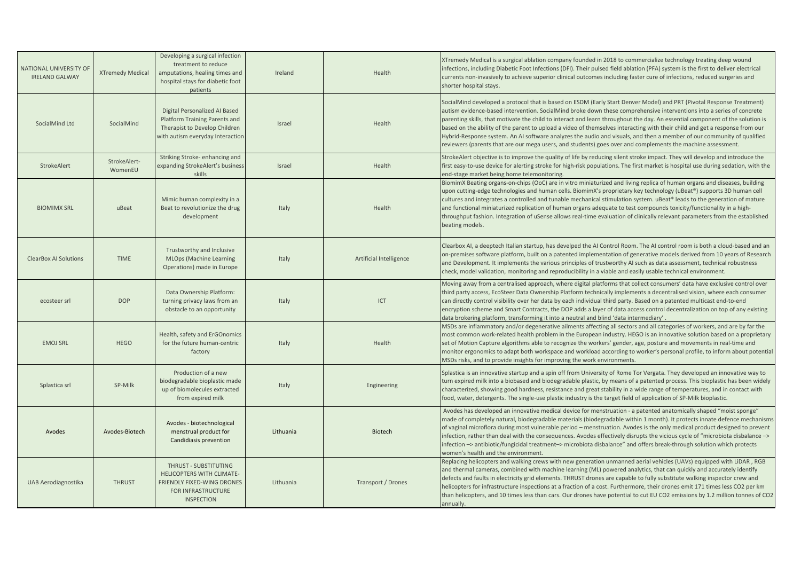| NATIONAL UNIVERSITY OF       |                         | Developing a surgical infection<br>treatment to reduce                                                                              |           |                         | XTremedy Medical is a surgical ablation company founded in 2018 to commercialize technology treating deep wound<br>infections, including Diabetic Foot Infections (DFI). Their pulsed field ablation (PFA) system is the first to deliver electrical                                                                                                                                                                                                                                                                                                                                                                                                                                                                                                    |
|------------------------------|-------------------------|-------------------------------------------------------------------------------------------------------------------------------------|-----------|-------------------------|---------------------------------------------------------------------------------------------------------------------------------------------------------------------------------------------------------------------------------------------------------------------------------------------------------------------------------------------------------------------------------------------------------------------------------------------------------------------------------------------------------------------------------------------------------------------------------------------------------------------------------------------------------------------------------------------------------------------------------------------------------|
| <b>IRELAND GALWAY</b>        | <b>XTremedy Medical</b> | amputations, healing times and<br>hospital stays for diabetic foot<br>patients                                                      | Ireland   | Health                  | currents non-invasively to achieve superior clinical outcomes including faster cure of infections, reduced surgeries and<br>shorter hospital stays.                                                                                                                                                                                                                                                                                                                                                                                                                                                                                                                                                                                                     |
| SocialMind Ltd               | SocialMind              | Digital Personalized AI Based<br>Platform Training Parents and<br>Therapist to Develop Children<br>with autism everyday Interaction | Israel    | Health                  | SocialMind developed a protocol that is based on ESDM (Early Start Denver Model) and PRT (Pivotal Response Treatment)<br>autism evidence-based intervention. SocialMind broke down these comprehensive interventions into a series of concrete<br>parenting skills, that motivate the child to interact and learn throughout the day. An essential component of the solution is<br>based on the ability of the parent to upload a video of themselves interacting with their child and get a response from our<br>Hybrid-Response system. An AI software analyzes the audio and visuals, and then a member of our community of qualified<br>reviewers (parents that are our mega users, and students) goes over and complements the machine assessment. |
| StrokeAlert                  | StrokeAlert-<br>WomenEU | Striking Stroke-enhancing and<br>expanding StrokeAlert's business<br>skills                                                         | Israel    | Health                  | StrokeAlert objective is to improve the quality of life by reducing silent stroke impact. They will develop and introduce the<br>first easy-to-use device for alerting stroke for high-risk populations. The first market is hospital use during sedation, with the<br>end-stage market being home telemonitoring.                                                                                                                                                                                                                                                                                                                                                                                                                                      |
| <b>BIOMIMX SRL</b>           | uBeat                   | Mimic human complexity in a<br>Beat to revolutionize the drug<br>development                                                        | Italy     | Health                  | BiomimX Beating organs-on-chips (OoC) are in vitro miniaturized and living replica of human organs and diseases, building<br>upon cutting-edge technologies and human cells. BiomimX's proprietary key technology (uBeat®) supports 3D human cell<br>cultures and integrates a controlled and tunable mechanical stimulation system. uBeat® leads to the generation of mature<br>and functional miniaturized replication of human organs adequate to test compounds toxicity/functionality in a high-<br>throughput fashion. Integration of uSense allows real-time evaluation of clinically relevant parameters from the established<br>beating models.                                                                                                |
| <b>ClearBox AI Solutions</b> | <b>TIME</b>             | Trustworthy and Inclusive<br><b>MLOps (Machine Learning</b><br>Operations) made in Europe                                           | Italy     | Artificial Intelligence | Clearbox AI, a deeptech Italian startup, has develped the AI Control Room. The AI control room is both a cloud-based and an<br>on-premises software platform, built on a patented implementation of generative models derived from 10 years of Research<br>and Development. It implements the various principles of trustworthy AI such as data assessment, technical robustness<br>check, model validation, monitoring and reproducibility in a viable and easily usable technical environment.                                                                                                                                                                                                                                                        |
| ecosteer srl                 | <b>DOP</b>              | Data Ownership Platform:<br>turning privacy laws from an<br>obstacle to an opportunity                                              | Italy     | ICT                     | Moving away from a centralised approach, where digital platforms that collect consumers' data have exclusive control over<br>third party access, EcoSteer Data Ownership Platform technically implements a decentralised vision, where each consumer<br>can directly control visibility over her data by each individual third party. Based on a patented multicast end-to-end<br>encryption scheme and Smart Contracts, the DOP adds a layer of data access control decentralization on top of any existing<br>data brokering platform, transforming it into a neutral and blind 'data intermediary'                                                                                                                                                   |
| <b>EMOJ SRL</b>              | <b>HEGO</b>             | Health, safety and ErGOnomics<br>for the future human-centric<br>factory                                                            | Italy     | Health                  | MSDs are inflammatory and/or degenerative ailments affecting all sectors and all categories of workers, and are by far the<br>most common work-related health problem in the European industry. HEGO is an innovative solution based on a proprietary<br>set of Motion Capture algorithms able to recognize the workers' gender, age, posture and movements in real-time and<br>monitor ergonomics to adapt both workspace and workload according to worker's personal profile, to inform about potential<br>MSDs risks, and to provide insights for improving the work environments.                                                                                                                                                                   |
| Splastica srl                | SP-Milk                 | Production of a new<br>biodegradable bioplastic made<br>up of biomolecules extracted<br>from expired milk                           | Italy     | Engineering             | Splastica is an innovative startup and a spin off from University of Rome Tor Vergata. They developed an innovative way to<br>turn expired milk into a biobased and biodegradable plastic, by means of a patented process. This bioplastic has been widely<br>characterized, showing good hardness, resistance and great stability in a wide range of temperatures, and in contact with<br>food, water, detergents. The single-use plastic industry is the target field of application of SP-Milk bioplastic.                                                                                                                                                                                                                                           |
| Avodes                       | Avodes-Biotech          | Avodes - biotechnological<br>menstrual product for<br>Candidiasis prevention                                                        | Lithuania | <b>Biotech</b>          | Avodes has developed an innovative medical device for menstruation - a patented anatomically shaped "moist sponge"<br>made of completely natural, biodegradable materials (biodegradable within 1 month). It protects innate defence mechanisms<br>of vaginal microflora during most vulnerable period – menstruation. Avodes is the only medical product designed to prevent<br>infection, rather than deal with the consequences. Avodes effectively disrupts the vicious cycle of "microbiota disbalance -><br>infection -> antibiotic/fungicidal treatment-> microbiota disbalance" and offers break-through solution which protects<br>women's health and the environment.                                                                         |
| UAB Aerodiagnostika          | <b>THRUST</b>           | THRUST - SUBSTITUTING<br>HELICOPTERS WITH CLIMATE-<br>FRIENDLY FIXED-WING DRONES<br>FOR INFRASTRUCTURE<br><b>INSPECTION</b>         | Lithuania | Transport / Drones      | Replacing helicopters and walking crews with new generation unmanned aerial vehicles (UAVs) equipped with LiDAR, RGB<br>and thermal cameras, combined with machine learning (ML) powered analytics, that can quickly and accurately identify<br>defects and faults in electricity grid elements. THRUST drones are capable to fully substitute walking inspector crew and<br>helicopters for infrastructure inspections at a fraction of a cost. Furthermore, their drones emit 171 times less CO2 per km<br>than helicopters, and 10 times less than cars. Our drones have potential to cut EU CO2 emissions by 1.2 million tonnes of CO2<br>annually.                                                                                                 |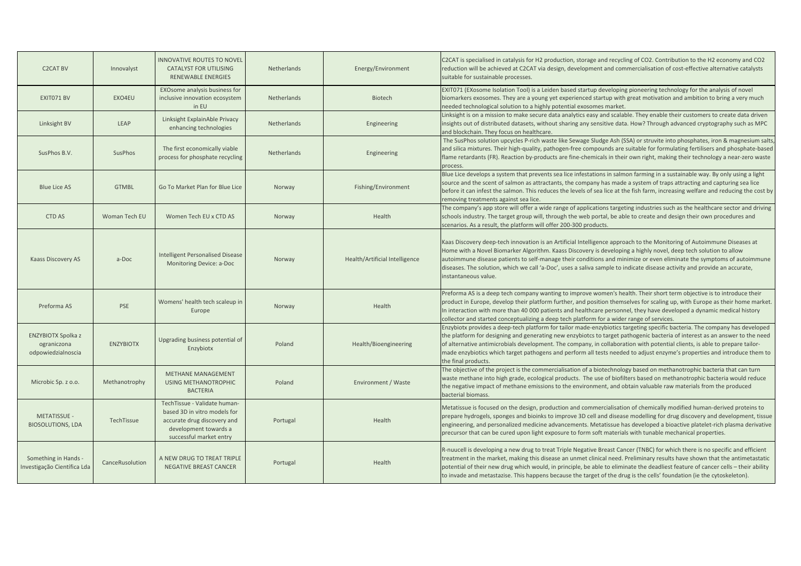| <b>C2CAT BV</b>                                                | Innovalyst       | <b>INNOVATIVE ROUTES TO NOVEL</b><br><b>CATALYST FOR UTILISING</b><br><b>RENEWABLE ENERGIES</b>                                                 | Netherlands        | Energy/Environment             | C2CAT is specialised in catalysis for H2 production, storage and recycling of CO2. Contribution to the H2 economy and CO2<br>reduction will be achieved at C2CAT via design, development and commercialisation of cost-effective alternative catalysts<br>suitable for sustainable processes.                                                                                                                                                                                                                                               |
|----------------------------------------------------------------|------------------|-------------------------------------------------------------------------------------------------------------------------------------------------|--------------------|--------------------------------|---------------------------------------------------------------------------------------------------------------------------------------------------------------------------------------------------------------------------------------------------------------------------------------------------------------------------------------------------------------------------------------------------------------------------------------------------------------------------------------------------------------------------------------------|
| EXIT071 BV                                                     | EXO4EU           | EXOsome analysis business for<br>inclusive innovation ecosystem<br>in EU                                                                        | Netherlands        | <b>Biotech</b>                 | EXIT071 (EXosome Isolation Tool) is a Leiden based startup developing pioneering technology for the analysis of novel<br>biomarkers exosomes. They are a young yet experienced startup with great motivation and ambition to bring a very much<br>needed technological solution to a highly potential exosomes market.                                                                                                                                                                                                                      |
| Linksight BV                                                   | LEAP             | Linksight ExplainAble Privacy<br>enhancing technologies                                                                                         | Netherlands        | Engineering                    | Linksight is on a mission to make secure data analytics easy and scalable. They enable their customers to create data driven<br>insights out of distributed datasets, without sharing any sensitive data. How? Through advanced cryptography such as MPC<br>and blockchain. They focus on healthcare.                                                                                                                                                                                                                                       |
| SusPhos B.V.                                                   | SusPhos          | The first economically viable<br>process for phosphate recycling                                                                                | <b>Netherlands</b> | Engineering                    | The SusPhos solution upcycles P-rich waste like Sewage Sludge Ash (SSA) or struvite into phosphates, iron & magnesium salts,<br>and silica mixtures. Their high-quality, pathogen-free compounds are suitable for formulating fertilisers and phosphate-based<br>flame retardants (FR). Reaction by-products are fine-chemicals in their own right, making their technology a near-zero waste<br>process.                                                                                                                                   |
| <b>Blue Lice AS</b>                                            | <b>GTMBL</b>     | Go To Market Plan for Blue Lice                                                                                                                 | Norway             | Fishing/Environment            | Blue Lice develops a system that prevents sea lice infestations in salmon farming in a sustainable way. By only using a light<br>source and the scent of salmon as attractants, the company has made a system of traps attracting and capturing sea lice<br>before it can infest the salmon. This reduces the levels of sea lice at the fish farm, increasing welfare and reducing the cost by<br>removing treatments against sea lice.                                                                                                     |
| <b>CTD AS</b>                                                  | Woman Tech EU    | Women Tech EU x CTD AS                                                                                                                          | Norway             | Health                         | The company's app store will offer a wide range of applications targeting industries such as the healthcare sector and driving<br>schools industry. The target group will, through the web portal, be able to create and design their own procedures and<br>scenarios. As a result, the platform will offer 200-300 products.                                                                                                                                                                                                               |
| Kaass Discovery AS                                             | a-Doc            | <b>Intelligent Personalised Disease</b><br>Monitoring Device: a-Doc                                                                             | Norway             | Health/Artificial Intelligence | Kaas Discovery deep-tech innovation is an Artificial Intelligence approach to the Monitoring of Autoimmune Diseases at<br>Home with a Novel Biomarker Algorithm. Kaass Discovery is developing a highly novel, deep tech solution to allow<br>autoimmune disease patients to self-manage their conditions and minimize or even eliminate the symptoms of autoimmune<br>diseases. The solution, which we call 'a-Doc', uses a saliva sample to indicate disease activity and provide an accurate,<br>instantaneous value.                    |
| Preforma AS                                                    | <b>PSE</b>       | Womens' health tech scaleup in<br>Europe                                                                                                        | Norway             | Health                         | Preforma AS is a deep tech company wanting to improve women's health. Their short term objective is to introduce their<br>product in Europe, develop their platform further, and position themselves for scaling up, with Europe as their home market.<br>In interaction with more than 40 000 patients and healthcare personnel, they have developed a dynamic medical history<br>collector and started conceptualizing a deep tech platform for a wider range of services.                                                                |
| <b>ENZYBIOTX Spolka z</b><br>ograniczona<br>odpowiedzialnoscia | <b>ENZYBIOTX</b> | Upgrading business potential of<br>Enzybiotx                                                                                                    | Poland             | Health/Bioengineering          | Enzybiotx provides a deep-tech platform for tailor made-enzybiotics targeting specific bacteria. The company has developed<br>the platform for designing and generating new enzybiotcs to target pathogenic bacteria of interest as an answer to the need<br>of alternative antimicrobials development. The company, in collaboration with potential clients, is able to prepare tailor-<br>made enzybiotics which target pathogens and perform all tests needed to adjust enzyme's properties and introduce them to<br>the final products. |
| Microbic Sp. z o.o.                                            | Methanotrophy    | METHANE MANAGEMENT<br><b>USING METHANOTROPHIC</b><br><b>BACTERIA</b>                                                                            | Poland             | Environment / Waste            | The objective of the project is the commercialisation of a biotechnology based on methanotrophic bacteria that can turn<br>waste methane into high grade, ecological products. The use of biofilters based on methanotrophic bacteria would reduce<br>the negative impact of methane emissions to the environment, and obtain valuable raw materials from the produced<br>bacterial biomass.                                                                                                                                                |
| <b>METATISSUE -</b><br><b>BIOSOLUTIONS, LDA</b>                | TechTissue       | TechTissue - Validate human-<br>based 3D in vitro models for<br>accurate drug discovery and<br>development towards a<br>successful market entry | Portugal           | Health                         | Metatissue is focused on the design, production and commercialisation of chemically modified human-derived proteins to<br>prepare hydrogels, sponges and bioinks to improve 3D cell and disease modelling for drug discovery and development, tissue<br>engineering, and personalized medicine advancements. Metatissue has developed a bioactive platelet-rich plasma derivative<br>precursor that can be cured upon light exposure to form soft materials with tunable mechanical properties.                                             |
| Something in Hands -<br>nvestigação Científica Lda             | CanceRusolution  | A NEW DRUG TO TREAT TRIPLE<br><b>NEGATIVE BREAST CANCER</b>                                                                                     | Portugal           | Health                         | R-nuucell is developing a new drug to treat Triple Negative Breast Cancer (TNBC) for which there is no specific and efficient<br>treatment in the market, making this disease an unmet clinical need. Preliminary results have shown that the antimetastatic<br>potential of their new drug which would, in principle, be able to eliminate the deadliest feature of cancer cells – their ability<br>to invade and metastazise. This happens because the target of the drug is the cells' foundation (ie the cytoskeleton).                 |